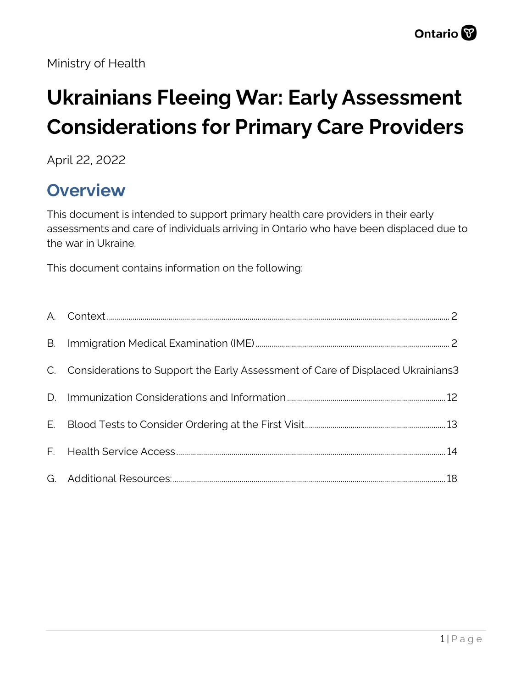Ministry of Health

# **Ukrainians Fleeing War: Early Assessment Considerations for Primary Care Providers**

April 22, 2022

### **Overview**

This document is intended to support primary health care providers in their early assessments and care of individuals arriving in Ontario who have been displaced due to the war in Ukraine.

This document contains information on the following:

| C. Considerations to Support the Early Assessment of Care of Displaced Ukrainians3 |  |
|------------------------------------------------------------------------------------|--|
|                                                                                    |  |
|                                                                                    |  |
|                                                                                    |  |
|                                                                                    |  |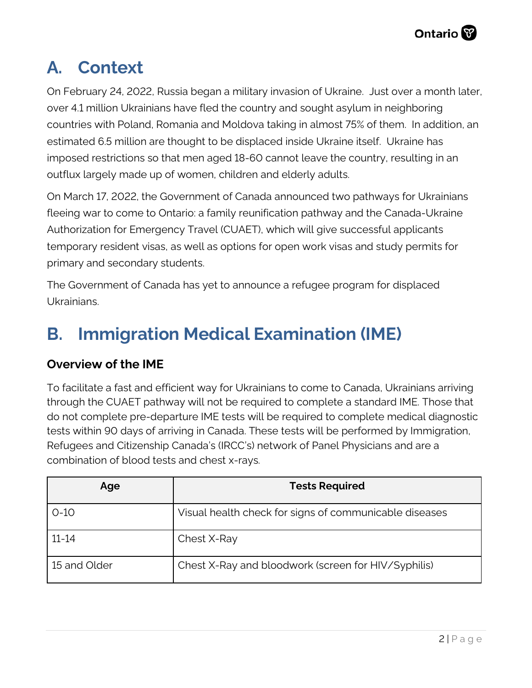

### <span id="page-1-0"></span>**A. Context**

On February 24, 2022, Russia began a military invasion of Ukraine. Just over a month later, over 4.1 million Ukrainians have fled the country and sought asylum in neighboring countries with Poland, Romania and Moldova taking in almost 75% of them. In addition, an estimated 6.5 million are thought to be displaced inside Ukraine itself. Ukraine has imposed restrictions so that men aged 18-60 cannot leave the country, resulting in an outflux largely made up of women, children and elderly adults.

On March 17, 2022, the Government of Canada announced two pathways for Ukrainians fleeing war to come to Ontario: a family reunification pathway and the Canada-Ukraine Authorization for Emergency Travel (CUAET), which will give successful applicants temporary resident visas, as well as options for open work visas and study permits for primary and secondary students.

The Government of Canada has yet to announce a refugee program for displaced Ukrainians.

## <span id="page-1-1"></span>**B. Immigration Medical Examination (IME)**

### **Overview of the IME**

To facilitate a fast and efficient way for Ukrainians to come to Canada, Ukrainians arriving through the CUAET pathway will not be required to complete a standard IME. Those that do not complete pre-departure IME tests will be required to complete medical diagnostic tests within 90 days of arriving in Canada. These tests will be performed by Immigration, Refugees and Citizenship Canada's (IRCC's) network of Panel Physicians and are a combination of blood tests and chest x-rays.

| Age          | <b>Tests Required</b>                                  |
|--------------|--------------------------------------------------------|
| $O-10$       | Visual health check for signs of communicable diseases |
| $11 - 14$    | Chest X-Ray                                            |
| 15 and Older | Chest X-Ray and bloodwork (screen for HIV/Syphilis)    |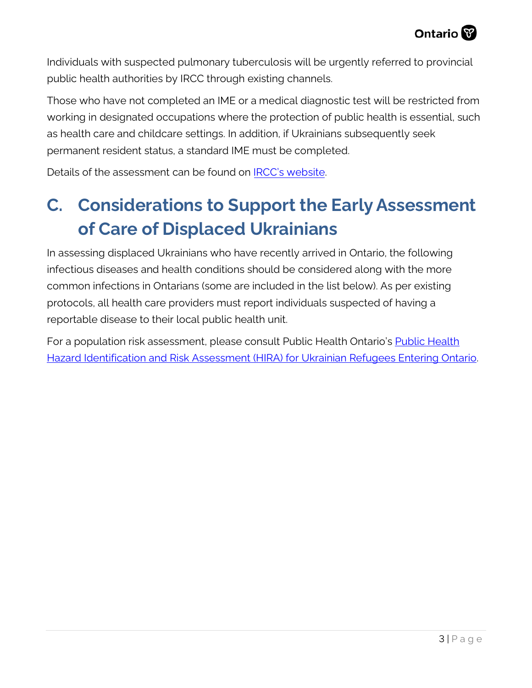Individuals with suspected pulmonary tuberculosis will be urgently referred to provincial public health authorities by IRCC through existing channels.

Those who have not completed an IME or a medical diagnostic test will be restricted from working in designated occupations where the protection of public health is essential, such as health care and childcare settings. In addition, if Ukrainians subsequently seek permanent resident status, a standard IME must be completed.

Details of the assessment can be found on [IRCC's website.](https://www.canada.ca/en/immigration-refugees-citizenship/corporate/publications-manuals/operational-bulletins-manuals/standard-requirements/medical-requirements/exam.html) 

## <span id="page-2-0"></span>**C. Considerations to Support the Early Assessment of Care of Displaced Ukrainians**

In assessing displaced Ukrainians who have recently arrived in Ontario, the following infectious diseases and health conditions should be considered along with the more common infections in Ontarians (some are included in the list below). As per existing protocols, all health care providers must report individuals suspected of having a reportable disease to their local public health unit.

[Hazard Identification and Risk Assessment \(HIRA\) for Ukrainian Refugees Entering Ontario](https://www.publichealthontario.ca/-/media/Documents/H/2022/hazard-id-risk-assessment-ukrainian-refugees-ontario.pdf?sc_lang=en). For a population risk assessment, please consult [Public Health](https://www.publichealthontario.ca/-/media/Documents/H/2022/hazard-id-risk-assessment-ukrainian-refugees-ontario.pdf?sc_lang=en) Ontario's **Public Health**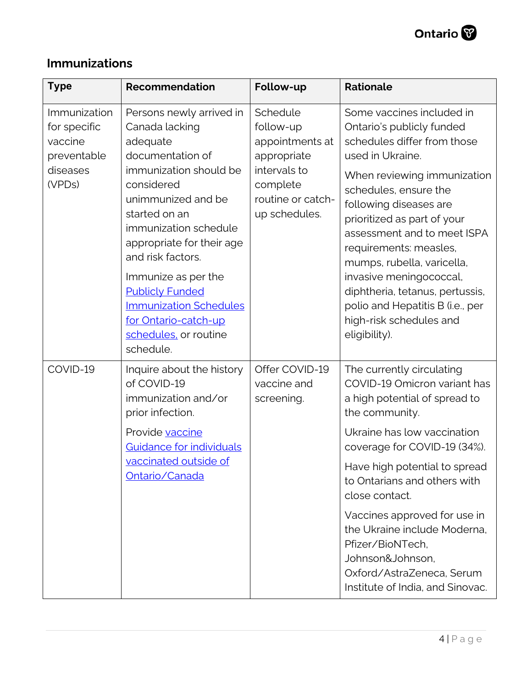| <b>Immunizations</b> |  |  |  |
|----------------------|--|--|--|
|----------------------|--|--|--|

| <b>Type</b>                                                                  | <b>Recommendation</b>                                                                                                                                                                                                                                                                                                                                                                | Follow-up                                                                                                                 | <b>Rationale</b>                                                                                                                                                                                                                                                                                                                                                                                                                                                |
|------------------------------------------------------------------------------|--------------------------------------------------------------------------------------------------------------------------------------------------------------------------------------------------------------------------------------------------------------------------------------------------------------------------------------------------------------------------------------|---------------------------------------------------------------------------------------------------------------------------|-----------------------------------------------------------------------------------------------------------------------------------------------------------------------------------------------------------------------------------------------------------------------------------------------------------------------------------------------------------------------------------------------------------------------------------------------------------------|
| Immunization<br>for specific<br>vaccine<br>preventable<br>diseases<br>(VPDs) | Persons newly arrived in<br>Canada lacking<br>adequate<br>documentation of<br>immunization should be<br>considered<br>unimmunized and be<br>started on an<br>immunization schedule<br>appropriate for their age<br>and risk factors.<br>Immunize as per the<br><b>Publicly Funded</b><br><b>Immunization Schedules</b><br>for Ontario-catch-up<br>schedules, or routine<br>schedule. | Schedule<br>follow-up<br>appointments at<br>appropriate<br>intervals to<br>complete<br>routine or catch-<br>up schedules. | Some vaccines included in<br>Ontario's publicly funded<br>schedules differ from those<br>used in Ukraine.<br>When reviewing immunization<br>schedules, ensure the<br>following diseases are<br>prioritized as part of your<br>assessment and to meet ISPA<br>requirements: measles,<br>mumps, rubella, varicella,<br>invasive meningococcal,<br>diphtheria, tetanus, pertussis,<br>polio and Hepatitis B (i.e., per<br>high-risk schedules and<br>eligibility). |
| COVID-19                                                                     | Inquire about the history<br>of COVID-19<br>immunization and/or<br>prior infection.<br>Provide vaccine<br>Guidance for individuals<br>vaccinated outside of<br>Ontario/Canada                                                                                                                                                                                                        | Offer COVID-19<br>vaccine and<br>screening.                                                                               | The currently circulating<br>COVID-19 Omicron variant has<br>a high potential of spread to<br>the community.<br>Ukraine has low vaccination<br>coverage for COVID-19 (34%).<br>Have high potential to spread<br>to Ontarians and others with<br>close contact.<br>Vaccines approved for use in<br>the Ukraine include Moderna,<br>Pfizer/BioNTech,<br>Johnson&Johnson,<br>Oxford/AstraZeneca, Serum<br>Institute of India, and Sinovac.                         |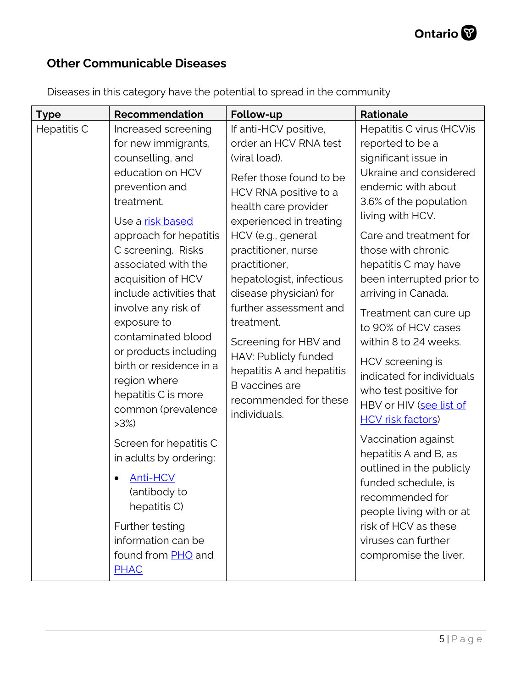### **Other Communicable Diseases**

| <b>Type</b>        | <b>Recommendation</b>                                                                                                                                                                                    | Follow-up                                                                                                                                                                         | Rationale                                                                                                                                                                                         |
|--------------------|----------------------------------------------------------------------------------------------------------------------------------------------------------------------------------------------------------|-----------------------------------------------------------------------------------------------------------------------------------------------------------------------------------|---------------------------------------------------------------------------------------------------------------------------------------------------------------------------------------------------|
| <b>Hepatitis C</b> | Increased screening<br>If anti-HCV positive,<br>for new immigrants,<br>counselling, and<br>(viral load).<br>education on HCV<br>prevention and<br>treatment.<br>health care provider<br>Use a risk based | order an HCV RNA test<br>Refer those found to be<br>HCV RNA positive to a<br>experienced in treating                                                                              | Hepatitis C virus (HCV)is<br>reported to be a<br>significant issue in<br>Ukraine and considered<br>endemic with about<br>3.6% of the population<br>living with HCV.                               |
|                    | approach for hepatitis<br>C screening. Risks<br>associated with the<br>acquisition of HCV<br>include activities that<br>involve any risk of<br>exposure to<br>contaminated blood                         | HCV (e.g., general<br>practitioner, nurse<br>practitioner,<br>hepatologist, infectious<br>disease physician) for<br>further assessment and<br>treatment.<br>Screening for HBV and | Care and treatment for<br>those with chronic<br>hepatitis C may have<br>been interrupted prior to<br>arriving in Canada.<br>Treatment can cure up<br>to 90% of HCV cases<br>within 8 to 24 weeks. |
|                    | or products including<br>birth or residence in a<br>region where<br>hepatitis C is more<br>common (prevalence<br>$>3\%)$                                                                                 | HAV: Publicly funded<br>hepatitis A and hepatitis<br><b>B</b> vaccines are<br>recommended for these<br>individuals.                                                               | HCV screening is<br>indicated for individuals<br>who test positive for<br>HBV or HIV (see list of<br><b>HCV</b> risk factors)                                                                     |
|                    | Screen for hepatitis C<br>in adults by ordering:<br>Anti-HCV<br>(antibody to<br>hepatitis C)<br>Further testing<br>information can be                                                                    |                                                                                                                                                                                   | Vaccination against<br>hepatitis A and B, as<br>outlined in the publicly<br>funded schedule, is<br>recommended for<br>people living with or at<br>risk of HCV as these<br>viruses can further     |
|                    | found from <b>PHO</b> and<br><b>PHAC</b>                                                                                                                                                                 |                                                                                                                                                                                   | compromise the liver.                                                                                                                                                                             |

Diseases in this category have the potential to spread in the community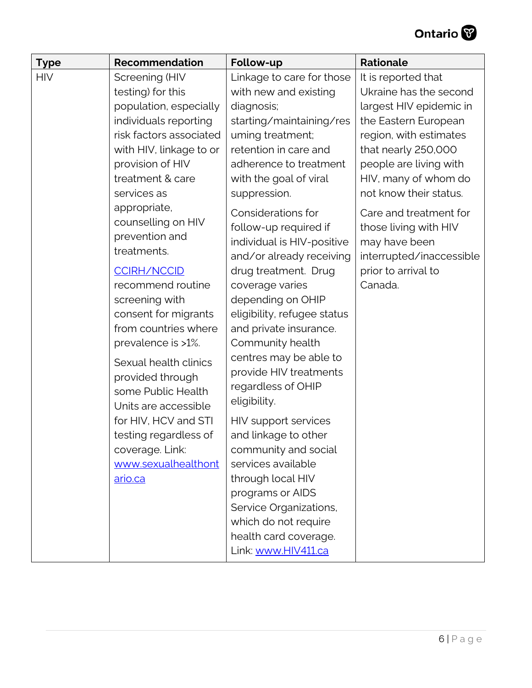

| <b>Type</b> | Recommendation          | Follow-up                   | <b>Rationale</b>         |
|-------------|-------------------------|-----------------------------|--------------------------|
| <b>HIV</b>  | Screening (HIV          | Linkage to care for those   | It is reported that      |
|             | testing) for this       | with new and existing       | Ukraine has the second   |
|             | population, especially  | diagnosis;                  | largest HIV epidemic in  |
|             | individuals reporting   | starting/maintaining/res    | the Eastern European     |
|             | risk factors associated | uming treatment;            | region, with estimates   |
|             | with HIV, linkage to or | retention in care and       | that nearly 250,000      |
|             | provision of HIV        | adherence to treatment      | people are living with   |
|             | treatment & care        | with the goal of viral      | HIV, many of whom do     |
|             | services as             | suppression.                | not know their status.   |
|             | appropriate,            | Considerations for          | Care and treatment for   |
|             | counselling on HIV      | follow-up required if       | those living with HIV    |
|             | prevention and          | individual is HIV-positive  | may have been            |
|             | treatments.             | and/or already receiving    | interrupted/inaccessible |
|             | <b>CCIRH/NCCID</b>      | drug treatment. Drug        | prior to arrival to      |
|             | recommend routine       | coverage varies             | Canada.                  |
|             | screening with          | depending on OHIP           |                          |
|             | consent for migrants    | eligibility, refugee status |                          |
|             | from countries where    | and private insurance.      |                          |
|             | prevalence is >1%.      | Community health            |                          |
|             | Sexual health clinics   | centres may be able to      |                          |
|             | provided through        | provide HIV treatments      |                          |
|             | some Public Health      | regardless of OHIP          |                          |
|             | Units are accessible    | eligibility.                |                          |
|             | for HIV, HCV and STI    | HIV support services        |                          |
|             | testing regardless of   | and linkage to other        |                          |
|             | coverage. Link:         | community and social        |                          |
|             | www.sexualhealthont     | services available          |                          |
|             | ario.ca                 | through local HIV           |                          |
|             |                         | programs or AIDS            |                          |
|             |                         | Service Organizations,      |                          |
|             |                         | which do not require        |                          |
|             |                         | health card coverage.       |                          |
|             |                         | Link: www.HIV411.ca         |                          |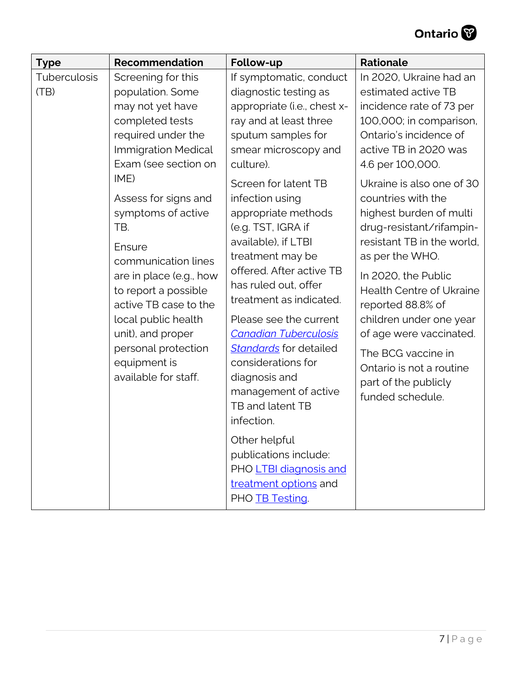

| <b>Type</b>          | Recommendation                                                                                                                                                                                                                                                                    | Follow-up                                                                                                                                                                                                                                                                                                                                                                                                                                                                                                                  | <b>Rationale</b>                                                                                                                                                                                                                                                                                                                                                                    |
|----------------------|-----------------------------------------------------------------------------------------------------------------------------------------------------------------------------------------------------------------------------------------------------------------------------------|----------------------------------------------------------------------------------------------------------------------------------------------------------------------------------------------------------------------------------------------------------------------------------------------------------------------------------------------------------------------------------------------------------------------------------------------------------------------------------------------------------------------------|-------------------------------------------------------------------------------------------------------------------------------------------------------------------------------------------------------------------------------------------------------------------------------------------------------------------------------------------------------------------------------------|
| Tuberculosis<br>(TB) | Screening for this<br>population. Some<br>may not yet have<br>completed tests<br>required under the<br><b>Immigration Medical</b><br>Exam (see section on                                                                                                                         | If symptomatic, conduct<br>diagnostic testing as<br>appropriate (i.e., chest x-<br>ray and at least three<br>sputum samples for<br>smear microscopy and<br>culture).                                                                                                                                                                                                                                                                                                                                                       | In 2020, Ukraine had an<br>estimated active TB<br>incidence rate of 73 per<br>100,000; in comparison,<br>Ontario's incidence of<br>active TB in 2020 was<br>4.6 per 100,000.                                                                                                                                                                                                        |
|                      | IME)<br>Assess for signs and<br>symptoms of active<br>TB.<br>Ensure<br>communication lines<br>are in place (e.g., how<br>to report a possible<br>active TB case to the<br>local public health<br>unit), and proper<br>personal protection<br>equipment is<br>available for staff. | Screen for latent TB<br>infection using<br>appropriate methods<br>(e.g. TST, IGRA if<br>available), if LTBI<br>treatment may be<br>offered. After active TB<br>has ruled out, offer<br>treatment as indicated.<br>Please see the current<br><b>Canadian Tuberculosis</b><br><b>Standards</b> for detailed<br>considerations for<br>diagnosis and<br>management of active<br>TB and latent TB<br>infection.<br>Other helpful<br>publications include:<br>PHO LTBI diagnosis and<br>treatment options and<br>PHO TB Testing. | Ukraine is also one of 30<br>countries with the<br>highest burden of multi<br>drug-resistant/rifampin-<br>resistant TB in the world,<br>as per the WHO.<br>In 2020, the Public<br>Health Centre of Ukraine<br>reported 88.8% of<br>children under one year<br>of age were vaccinated.<br>The BCG vaccine in<br>Ontario is not a routine<br>part of the publicly<br>funded schedule. |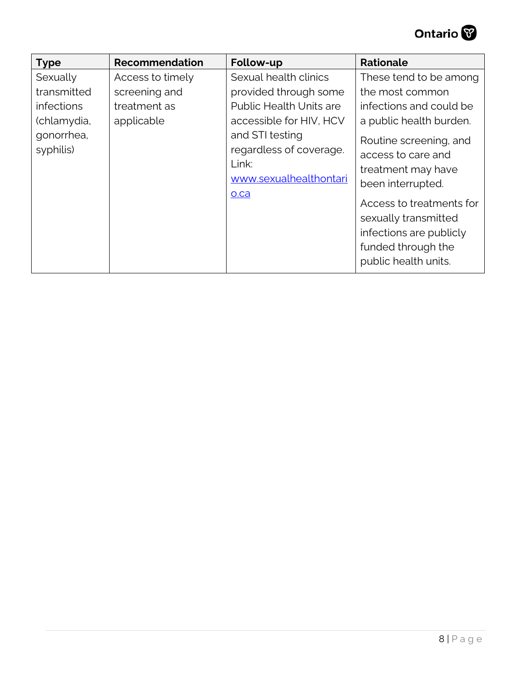

| <b>Type</b>                                                                     | <b>Recommendation</b>                                           | Follow-up                                                                                                                                                                                            | <b>Rationale</b>                                                                                                                                                                                                                                                                                                        |
|---------------------------------------------------------------------------------|-----------------------------------------------------------------|------------------------------------------------------------------------------------------------------------------------------------------------------------------------------------------------------|-------------------------------------------------------------------------------------------------------------------------------------------------------------------------------------------------------------------------------------------------------------------------------------------------------------------------|
| Sexually<br>transmitted<br>infections<br>(chlamydia,<br>gonorrhea,<br>syphilis) | Access to timely<br>screening and<br>treatment as<br>applicable | Sexual health clinics<br>provided through some<br><b>Public Health Units are</b><br>accessible for HIV, HCV<br>and STI testing<br>regardless of coverage.<br>Link:<br>www.sexualhealthontari<br>O.Ca | These tend to be among<br>the most common<br>infections and could be<br>a public health burden.<br>Routine screening, and<br>access to care and<br>treatment may have<br>been interrupted.<br>Access to treatments for<br>sexually transmitted<br>infections are publicly<br>funded through the<br>public health units. |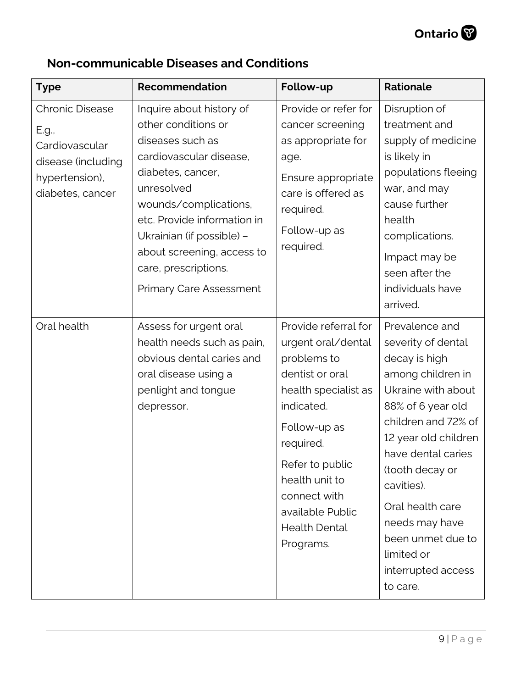

### **Non-communicable Diseases and Conditions**

| <b>Type</b>                                                                                                   | <b>Recommendation</b>                                                                                                                                                                                                                                                                                          | Follow-up                                                                                                                                                                                                                                                     | <b>Rationale</b>                                                                                                                                                                                                                                                                                                                       |
|---------------------------------------------------------------------------------------------------------------|----------------------------------------------------------------------------------------------------------------------------------------------------------------------------------------------------------------------------------------------------------------------------------------------------------------|---------------------------------------------------------------------------------------------------------------------------------------------------------------------------------------------------------------------------------------------------------------|----------------------------------------------------------------------------------------------------------------------------------------------------------------------------------------------------------------------------------------------------------------------------------------------------------------------------------------|
| <b>Chronic Disease</b><br>E.g.,<br>Cardiovascular<br>disease (including<br>hypertension),<br>diabetes, cancer | Inquire about history of<br>other conditions or<br>diseases such as<br>cardiovascular disease,<br>diabetes, cancer,<br>unresolved<br>wounds/complications,<br>etc. Provide information in<br>Ukrainian (if possible) -<br>about screening, access to<br>care, prescriptions.<br><b>Primary Care Assessment</b> | Provide or refer for<br>cancer screening<br>as appropriate for<br>age.<br>Ensure appropriate<br>care is offered as<br>required.<br>Follow-up as<br>required.                                                                                                  | Disruption of<br>treatment and<br>supply of medicine<br>is likely in<br>populations fleeing<br>war, and may<br>cause further<br>health<br>complications.<br>Impact may be<br>seen after the<br>individuals have<br>arrived.                                                                                                            |
| Oral health                                                                                                   | Assess for urgent oral<br>health needs such as pain,<br>obvious dental caries and<br>oral disease using a<br>penlight and tongue<br>depressor.                                                                                                                                                                 | Provide referral for<br>urgent oral/dental<br>problems to<br>dentist or oral<br>health specialist as<br>indicated.<br>Follow-up as<br>required.<br>Refer to public<br>health unit to<br>connect with<br>available Public<br><b>Health Dental</b><br>Programs. | Prevalence and<br>severity of dental<br>decay is high<br>among children in<br>Ukraine with about<br>88% of 6 year old<br>children and 72% of<br>12 year old children<br>have dental caries<br>(tooth decay or<br>cavities).<br>Oral health care<br>needs may have<br>been unmet due to<br>limited or<br>interrupted access<br>to care. |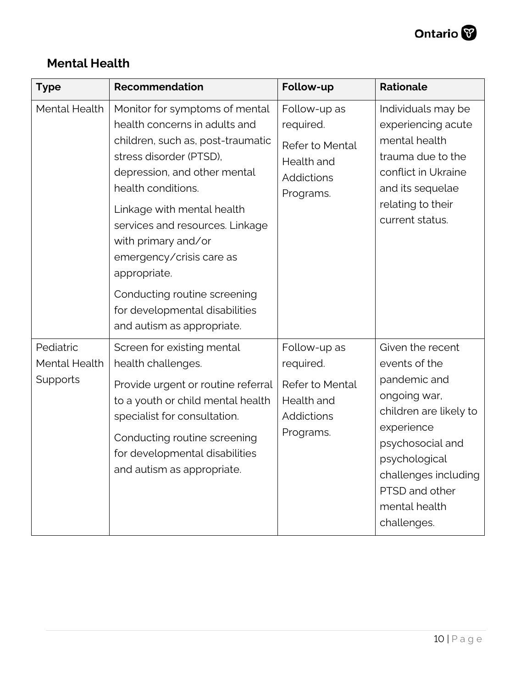### **Mental Health**

| <b>Type</b>                            | <b>Recommendation</b>                                                                                                                                                                                                                                                                                                                                                                                                     | Follow-up                                                                             | <b>Rationale</b>                                                                                                                                                                                                         |
|----------------------------------------|---------------------------------------------------------------------------------------------------------------------------------------------------------------------------------------------------------------------------------------------------------------------------------------------------------------------------------------------------------------------------------------------------------------------------|---------------------------------------------------------------------------------------|--------------------------------------------------------------------------------------------------------------------------------------------------------------------------------------------------------------------------|
| Mental Health                          | Monitor for symptoms of mental<br>health concerns in adults and<br>children, such as, post-traumatic<br>stress disorder (PTSD),<br>depression, and other mental<br>health conditions.<br>Linkage with mental health<br>services and resources. Linkage<br>with primary and/or<br>emergency/crisis care as<br>appropriate.<br>Conducting routine screening<br>for developmental disabilities<br>and autism as appropriate. | Follow-up as<br>required.<br>Refer to Mental<br>Health and<br>Addictions<br>Programs. | Individuals may be<br>experiencing acute<br>mental health<br>trauma due to the<br>conflict in Ukraine<br>and its sequelae<br>relating to their<br>current status.                                                        |
| Pediatric<br>Mental Health<br>Supports | Screen for existing mental<br>health challenges.<br>Provide urgent or routine referral<br>to a youth or child mental health<br>specialist for consultation.<br>Conducting routine screening<br>for developmental disabilities<br>and autism as appropriate.                                                                                                                                                               | Follow-up as<br>required.<br>Refer to Mental<br>Health and<br>Addictions<br>Programs. | Given the recent<br>events of the<br>pandemic and<br>ongoing war,<br>children are likely to<br>experience<br>psychosocial and<br>psychological<br>challenges including<br>PTSD and other<br>mental health<br>challenges. |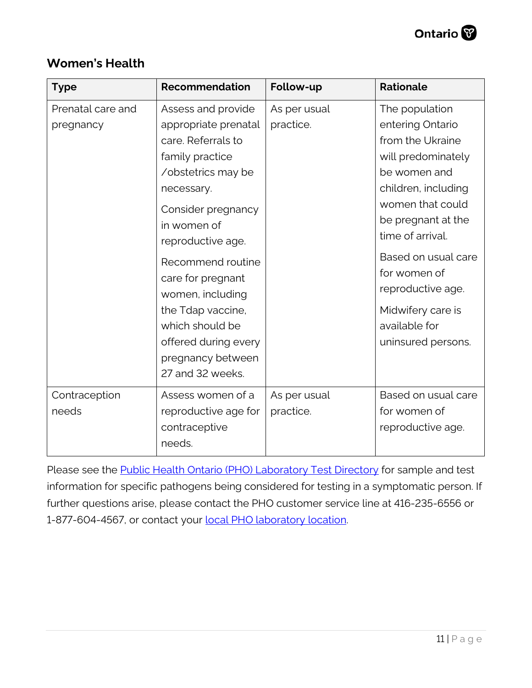

### **Women's Health**

| <b>Type</b>                    | <b>Recommendation</b>                                                                                                                                                                                                                                                                                                                                    | Follow-up                 | <b>Rationale</b>                                                                                                                                                                                                                                                                                          |
|--------------------------------|----------------------------------------------------------------------------------------------------------------------------------------------------------------------------------------------------------------------------------------------------------------------------------------------------------------------------------------------------------|---------------------------|-----------------------------------------------------------------------------------------------------------------------------------------------------------------------------------------------------------------------------------------------------------------------------------------------------------|
| Prenatal care and<br>pregnancy | Assess and provide<br>appropriate prenatal<br>care. Referrals to<br>family practice<br>/obstetrics may be<br>necessary.<br>Consider pregnancy<br>in women of<br>reproductive age.<br>Recommend routine<br>care for pregnant<br>women, including<br>the Tdap vaccine,<br>which should be<br>offered during every<br>pregnancy between<br>27 and 32 weeks. | As per usual<br>practice. | The population<br>entering Ontario<br>from the Ukraine<br>will predominately<br>be women and<br>children, including<br>women that could<br>be pregnant at the<br>time of arrival.<br>Based on usual care<br>for women of<br>reproductive age.<br>Midwifery care is<br>available for<br>uninsured persons. |
| Contraception<br>needs         | Assess women of a<br>reproductive age for<br>contraceptive<br>needs.                                                                                                                                                                                                                                                                                     | As per usual<br>practice. | Based on usual care<br>for women of<br>reproductive age.                                                                                                                                                                                                                                                  |

<span id="page-10-0"></span>Please see the **Public Health Ontario (PHO) Laboratory Test Directory** for sample and test information for specific pathogens being considered for testing in a symptomatic person. If further questions arise, please contact the PHO customer service line at 416-235-6556 or 1-877-604-4567, or contact your **local PHO laboratory location**.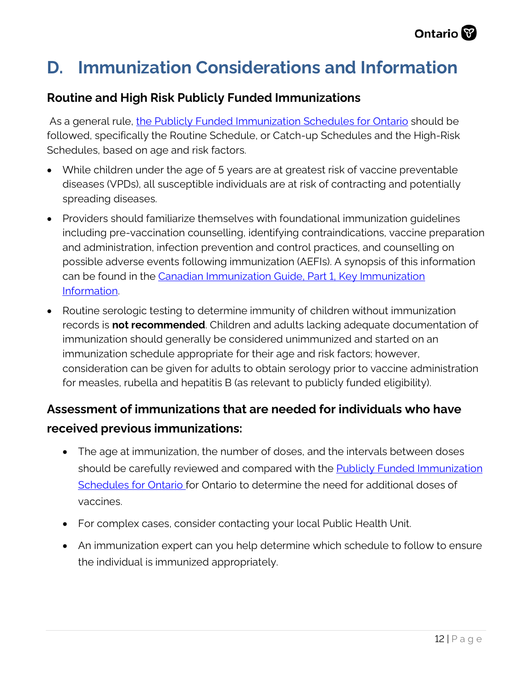## **D. Immunization Considerations and Information**

### **Routine and High Risk Publicly Funded Immunizations**

As a general rule, [the Publicly Funded Immunization Schedules for Ontario](https://www.health.gov.on.ca/en/pro/programs/immunization/docs/Publicly_Funded_ImmunizationSchedule.pdf) should be followed, specifically the Routine Schedule, or Catch-up Schedules and the High-Risk Schedules, based on age and risk factors.

- While children under the age of 5 years are at greatest risk of vaccine preventable diseases (VPDs), all susceptible individuals are at risk of contracting and potentially spreading diseases.
- Providers should familiarize themselves with foundational immunization guidelines including pre-vaccination counselling, identifying contraindications, vaccine preparation and administration, infection prevention and control practices, and counselling on possible adverse events following immunization (AEFIs). A synopsis of this information can be found in the [Canadian Immunization Guide, Part 1, Key Immunization](https://www.canada.ca/en/public-health/services/publications/healthy-living/canadian-immunization-guide-part-1-key-immunization-information.html)  [Information.](https://www.canada.ca/en/public-health/services/publications/healthy-living/canadian-immunization-guide-part-1-key-immunization-information.html)
- Routine serologic testing to determine immunity of children without immunization records is **not recommended**. Children and adults lacking adequate documentation of immunization should generally be considered unimmunized and started on an immunization schedule appropriate for their age and risk factors; however, consideration can be given for adults to obtain serology prior to vaccine administration for measles, rubella and hepatitis B (as relevant to publicly funded eligibility).

### **Assessment of immunizations that are needed for individuals who have received previous immunizations:**

- The age at immunization, the number of doses, and the intervals between doses should be carefully reviewed and compared with the **Publicly Funded Immunization** [Schedules for Ontario](https://www.canada.ca/en/public-health/services/publications/healthy-living/canadian-immunization-guide-part-1-key-immunization-information.html) for Ontario to determine the need for additional doses of vaccines.
- For complex cases, consider contacting your local Public Health Unit.
- An immunization expert can you help determine which schedule to follow to ensure the individual is immunized appropriately.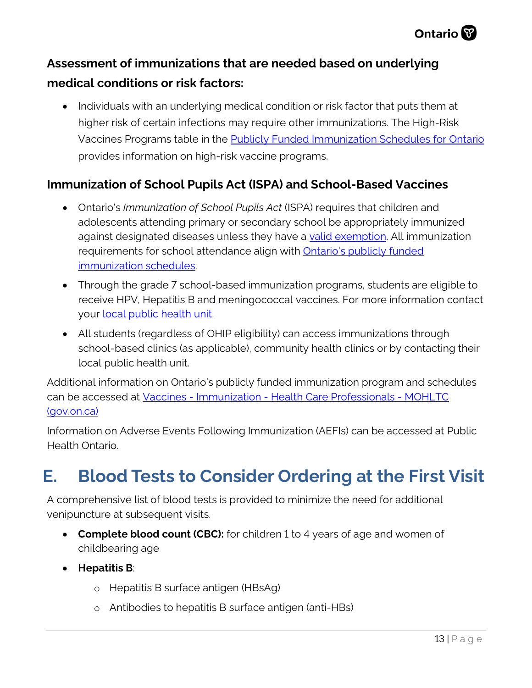

### **Assessment of immunizations that are needed based on underlying medical conditions or risk factors:**

• Individuals with an underlying medical condition or risk factor that puts them at higher risk of certain infections may require other immunizations. The High-Risk Vaccines Programs table in the **Publicly Funded Immunization Schedules for Ontario** provides information on high-risk vaccine programs.

### **Immunization of School Pupils Act (ISPA) and School-Based Vaccines**

- Ontario's *Immunization of School Pupils Act* (ISPA) requires that children and adolescents attending primary or secondary school be appropriately immunized against designated diseases unless they have a [valid exemption.](https://www.ontario.ca/page/vaccines-children-school) All immunization requirements for school attendance align with Ontario's publicly funded [immunization schedules.](https://www.health.gov.on.ca/en/pro/programs/immunization/schedule.aspx)
- your [local public health unit](https://www.phdapps.health.gov.on.ca/PHULocator/). • Through the grade 7 school-based immunization programs, students are eligible to receive HPV, Hepatitis B and meningococcal vaccines. For more information contact
- All students (regardless of OHIP eligibility) can access immunizations through school-based clinics (as applicable), community health clinics or by contacting their local public health unit.

Additional information on Ontario's publicly funded immunization program and schedules can be accessed at [Vaccines - Immunization - Health Care Professionals - MOHLTC](https://www.health.gov.on.ca/en/pro/programs/immunization/)  [\(gov.on.ca\)](https://www.health.gov.on.ca/en/pro/programs/immunization/)

Information on Adverse Events Following Immunization (AEFIs) can be accessed at Public Health Ontario.

## <span id="page-12-0"></span>**E. Blood Tests to Consider Ordering at the First Visit**

A comprehensive list of blood tests is provided to minimize the need for additional venipuncture at subsequent visits.

- **Complete blood count (CBC):** for children 1 to 4 years of age and women of childbearing age
- **Hepatitis B**:
	- o Hepatitis B surface antigen (HBsAg)
	- o Antibodies to hepatitis B surface antigen (anti-HBs)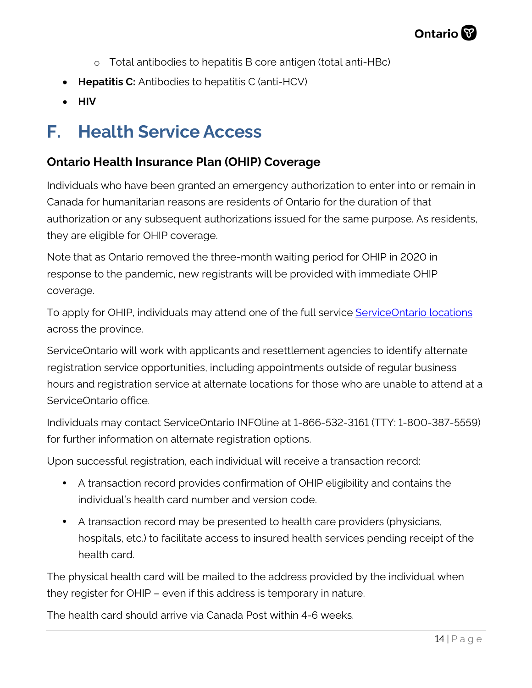

- o Total antibodies to hepatitis B core antigen (total anti-HBc)
- **Hepatitis C:** Antibodies to hepatitis C (anti-HCV)
- **HIV**

### <span id="page-13-0"></span>**F. Health Service Access**

### **Ontario Health Insurance Plan (OHIP) Coverage**

Individuals who have been granted an emergency authorization to enter into or remain in Canada for humanitarian reasons are residents of Ontario for the duration of that authorization or any subsequent authorizations issued for the same purpose. As residents, they are eligible for OHIP coverage.

Note that as Ontario removed the three-month waiting period for OHIP in 2020 in response to the pandemic, new registrants will be provided with immediate OHIP coverage.

To apply for OHIP, individuals may attend one of the full service [ServiceOntario locations](https://www.ontario.ca/locations/serviceontario) across the province.

ServiceOntario will work with applicants and resettlement agencies to identify alternate registration service opportunities, including appointments outside of regular business hours and registration service at alternate locations for those who are unable to attend at a ServiceOntario office.

Individuals may contact ServiceOntario INFOline at 1-866-532-3161 (TTY: 1-800-387-5559) for further information on alternate registration options.

Upon successful registration, each individual will receive a transaction record:

- A transaction record provides confirmation of OHIP eligibility and contains the individual's health card number and version code.
- A transaction record may be presented to health care providers (physicians, hospitals, etc.) to facilitate access to insured health services pending receipt of the health card.

The physical health card will be mailed to the address provided by the individual when they register for OHIP – even if this address is temporary in nature.

The health card should arrive via Canada Post within 4-6 weeks.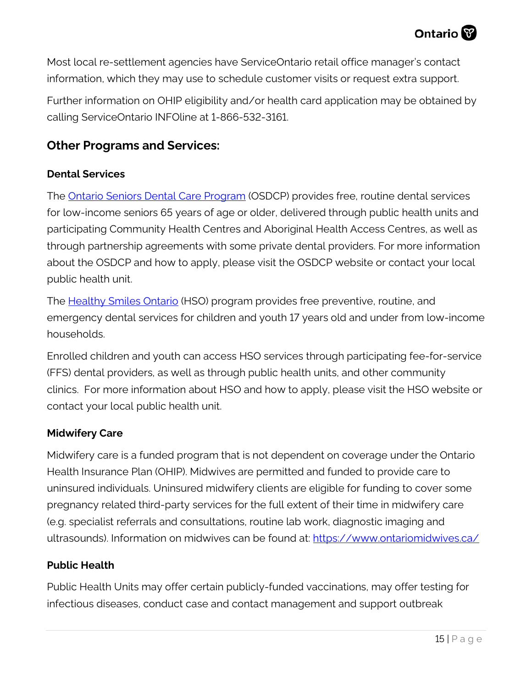

Most local re-settlement agencies have ServiceOntario retail office manager's contact information, which they may use to schedule customer visits or request extra support.

Further information on OHIP eligibility and/or health card application may be obtained by calling ServiceOntario INFOline at 1-866-532-3161.

### **Other Programs and Services:**

#### **Dental Services**

The [Ontario Seniors Dental Care Program](https://www.ontario.ca/page/dental-care-low-income-seniors#section-1) (OSDCP) provides free, routine dental services for low-income seniors 65 years of age or older, delivered through public health units and participating Community Health Centres and Aboriginal Health Access Centres, as well as through partnership agreements with some private dental providers. For more information about the OSDCP and how to apply, please visit the OSDCP website or contact your local public health unit.

The [Healthy Smiles Ontario](https://www.ontario.ca/page/services-covered-by-healthy-smiles-ontario) (HSO) program provides free preventive, routine, and emergency dental services for children and youth 17 years old and under from low-income households.

Enrolled children and youth can access HSO services through participating fee-for-service (FFS) dental providers, as well as through public health units, and other community clinics. For more information about HSO and how to apply, please visit the HSO website or contact your local public health unit.

#### **Midwifery Care**

Midwifery care is a funded program that is not dependent on coverage under the Ontario Health Insurance Plan (OHIP). Midwives are permitted and funded to provide care to uninsured individuals. Uninsured midwifery clients are eligible for funding to cover some pregnancy related third-party services for the full extent of their time in midwifery care (e.g. specialist referrals and consultations, routine lab work, diagnostic imaging and ultrasounds). Information on midwives can be found at:<https://www.ontariomidwives.ca/>

#### **Public Health**

Public Health Units may offer certain publicly-funded vaccinations, may offer testing for infectious diseases, conduct case and contact management and support outbreak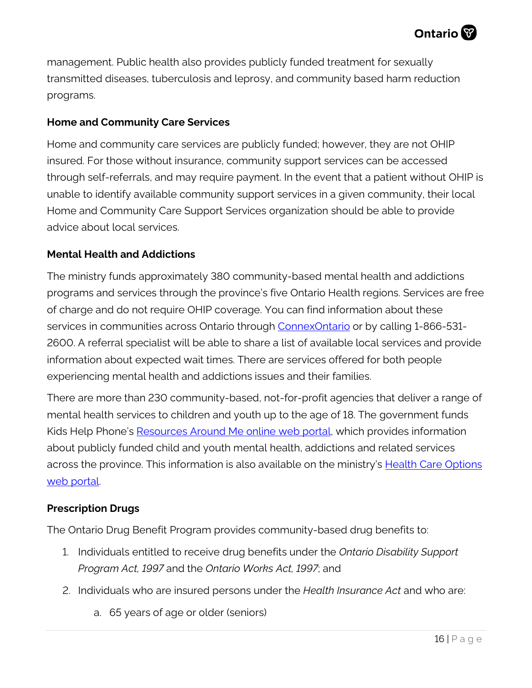

management. Public health also provides publicly funded treatment for sexually transmitted diseases, tuberculosis and leprosy, and community based harm reduction programs.

#### **Home and Community Care Services**

Home and community care services are publicly funded; however, they are not OHIP insured. For those without insurance, community support services can be accessed through self-referrals, and may require payment. In the event that a patient without OHIP is unable to identify available community support services in a given community, their local Home and Community Care Support Services organization should be able to provide advice about local services.

#### **Mental Health and Addictions**

The ministry funds approximately 380 community-based mental health and addictions programs and services through the province's five Ontario Health regions. Services are free of charge and do not require OHIP coverage. You can find information about these services in communities across Ontario through [ConnexOntario](http://www.connexontario.ca/) or by calling 1-866-531-2600. A referral specialist will be able to share a list of available local services and provide information about expected wait times. There are services offered for both people experiencing mental health and addictions issues and their families.

There are more than 230 community-based, not-for-profit agencies that deliver a range of mental health services to children and youth up to the age of 18. The government funds Kids Help Phone's Resources [Around Me online web portal,](https://apps.kidshelpphone.ca/resourcesaroundme/welcome.html) which provides information about publicly funded child and youth mental health, addictions and related services across the province. This information is also available on the ministry's **Health Care Options** [web portal.](https://www.ontario.ca/page/health-care-ontario)

#### **Prescription Drugs**

The Ontario Drug Benefit Program provides community-based drug benefits to:

- 1. Individuals entitled to receive drug benefits under the *Ontario Disability Support Program Act, 1997* and the *Ontario Works Act, 1997*; and
- 2. Individuals who are insured persons under the *Health Insurance Act* and who are:
	- a. 65 years of age or older (seniors)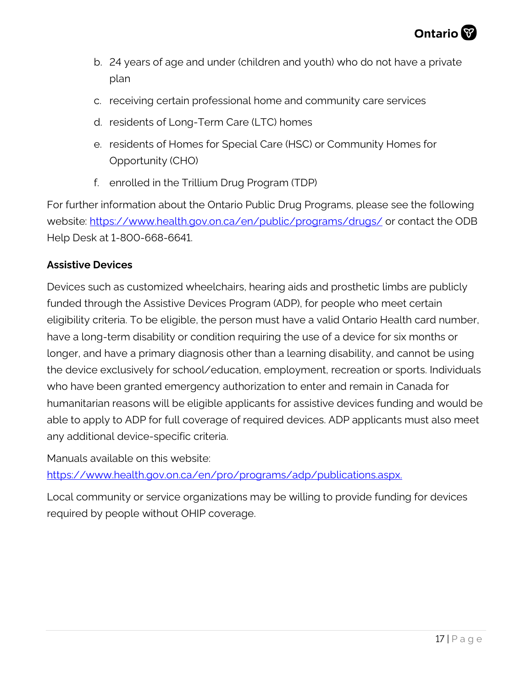- b. 24 years of age and under (children and youth) who do not have a private plan
- c. receiving certain professional home and community care services
- d. residents of Long-Term Care (LTC) homes
- e. residents of Homes for Special Care (HSC) or Community Homes for Opportunity (CHO)
- f. enrolled in the Trillium Drug Program (TDP)

For further information about the Ontario Public Drug Programs, please see the following website:<https://www.health.gov.on.ca/en/public/programs/drugs/> or contact the ODB Help Desk at 1-800-668-6641.

#### **Assistive Devices**

Devices such as customized wheelchairs, hearing aids and prosthetic limbs are publicly funded through the Assistive Devices Program (ADP), for people who meet certain eligibility criteria. To be eligible, the person must have a valid Ontario Health card number, have a long-term disability or condition requiring the use of a device for six months or longer, and have a primary diagnosis other than a learning disability, and cannot be using the device exclusively for school/education, employment, recreation or sports. Individuals who have been granted emergency authorization to enter and remain in Canada for humanitarian reasons will be eligible applicants for assistive devices funding and would be able to apply to ADP for full coverage of required devices. ADP applicants must also meet any additional device-specific criteria.

Manuals available on this website:

[https://www.health.gov.on.ca/en/pro/programs/adp/publications.aspx.](https://www.health.gov.on.ca/en/pro/programs/adp/publications.aspx)

Local community or service organizations may be willing to provide funding for devices required by people without OHIP coverage.